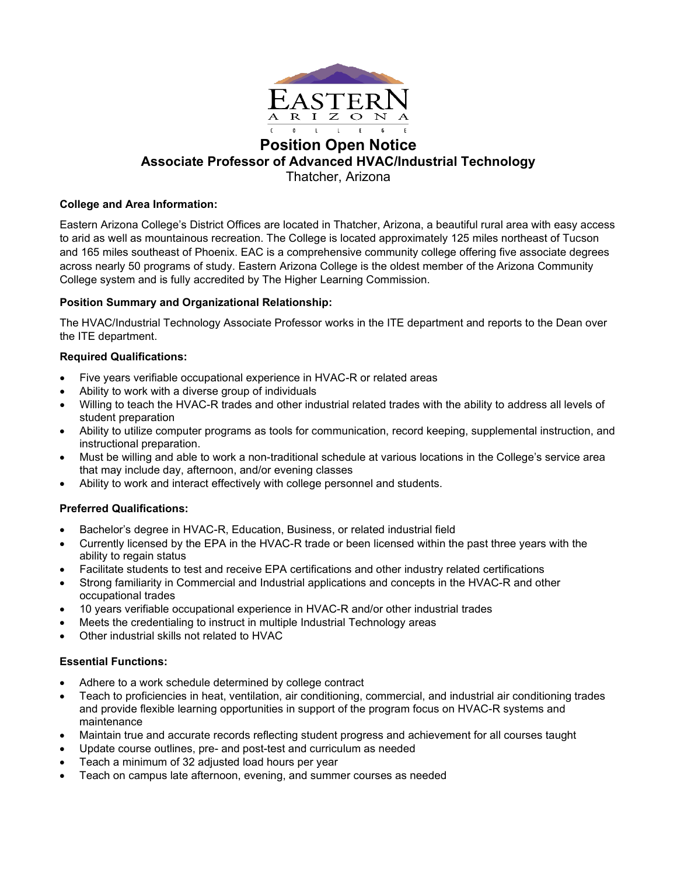

# **Position Open Notice Associate Professor of Advanced HVAC/Industrial Technology**

Thatcher, Arizona

# **College and Area Information:**

Eastern Arizona College's District Offices are located in Thatcher, Arizona, a beautiful rural area with easy access to arid as well as mountainous recreation. The College is located approximately 125 miles northeast of Tucson and 165 miles southeast of Phoenix. EAC is a comprehensive community college offering five associate degrees across nearly 50 programs of study. Eastern Arizona College is the oldest member of the Arizona Community College system and is fully accredited by The Higher Learning Commission.

# **Position Summary and Organizational Relationship:**

The HVAC/Industrial Technology Associate Professor works in the ITE department and reports to the Dean over the ITE department.

## **Required Qualifications:**

- Five years verifiable occupational experience in HVAC-R or related areas
- Ability to work with a diverse group of individuals
- Willing to teach the HVAC-R trades and other industrial related trades with the ability to address all levels of student preparation
- Ability to utilize computer programs as tools for communication, record keeping, supplemental instruction, and instructional preparation.
- Must be willing and able to work a non-traditional schedule at various locations in the College's service area that may include day, afternoon, and/or evening classes
- Ability to work and interact effectively with college personnel and students.

# **Preferred Qualifications:**

- Bachelor's degree in HVAC-R, Education, Business, or related industrial field
- Currently licensed by the EPA in the HVAC-R trade or been licensed within the past three years with the ability to regain status
- Facilitate students to test and receive EPA certifications and other industry related certifications
- Strong familiarity in Commercial and Industrial applications and concepts in the HVAC-R and other occupational trades
- 10 years verifiable occupational experience in HVAC-R and/or other industrial trades
- Meets the credentialing to instruct in multiple Industrial Technology areas
- Other industrial skills not related to HVAC

## **Essential Functions:**

- Adhere to a work schedule determined by college contract
- Teach to proficiencies in heat, ventilation, air conditioning, commercial, and industrial air conditioning trades and provide flexible learning opportunities in support of the program focus on HVAC-R systems and maintenance
- Maintain true and accurate records reflecting student progress and achievement for all courses taught
- Update course outlines, pre- and post-test and curriculum as needed
- Teach a minimum of 32 adjusted load hours per year
- Teach on campus late afternoon, evening, and summer courses as needed